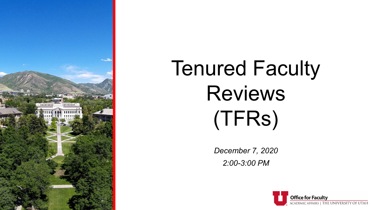

# Tenured Faculty Reviews (TFRs)

*December 7, 2020 2:00-3:00 PM*

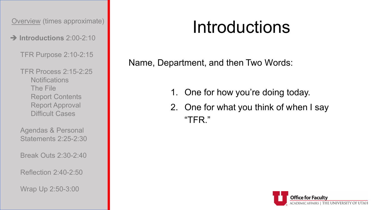**Introductions** 2:00-2:10

TFR Purpose 2:10-2:15

TFR Process 2:15-2:25 Notifications The File Report Contents Report Approval Difficult Cases

Agendas & Personal Statements 2:25-2:30

Break Outs 2:30-2:40

Reflection 2:40-2:50

Wrap Up 2:50-3:00

### Introductions

Name, Department, and then Two Words:

- 1. One for how you're doing today.
- 2. One for what you think of when I say "TFR."

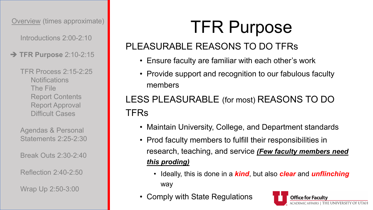Introductions 2:00-2:10

**→ TFR Purpose 2:10-2:15** 

TFR Process 2:15-2:25 **Notifications** The File Report Contents Report Approval Difficult Cases

Agendas & Personal Statements 2:25-2:30

Break Outs 2:30-2:40

Reflection 2:40-2:50

Wrap Up 2:50-3:00

### TFR Purpose

#### PLEASURABLE REASONS TO DO TFRs

- Ensure faculty are familiar with each other's work
- Provide support and recognition to our fabulous faculty members

#### LESS PLEASURABLE (for most) REASONS TO DO **TFRs**

- Maintain University, College, and Department standards
- Prod faculty members to fulfill their responsibilities in research, teaching, and service *(Few faculty members need this proding)*
	- Ideally, this is done in a *kind*, but also *clear* and *unflinching* way
- Comply with State Regulations

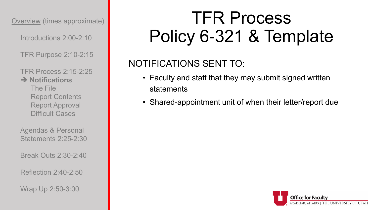Introductions 2:00-2:10

TFR Purpose 2:10-2:15

TFR Process 2:15-2:25 **→ Notifications** The File Report Contents Report Approval Difficult Cases

Agendas & Personal Statements 2:25-2:30

Break Outs 2:30-2:40

Reflection 2:40-2:50

Wrap Up 2:50-3:00

### TFR Process Policy 6-321 & Template

#### NOTIFICATIONS SENT TO:

- Faculty and staff that they may submit signed written statements
- Shared-appointment unit of when their letter/report due

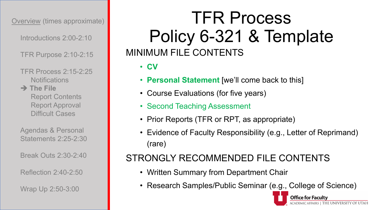Introductions 2:00-2:10

TFR Purpose 2:10-2:15

TFR Process 2:15-2:25 **Notifications** 

**→ The File** Report Contents Report Approval Difficult Cases

Agendas & Personal Statements 2:25-2:30

Break Outs 2:30-2:40

Reflection 2:40-2:50

Wrap Up 2:50-3:00

### TFR Process Policy 6-321 & Template MINIMUM FILE CONTENTS

• **CV**

- **Personal Statement** [we'll come back to this]
- Course Evaluations (for five years)
- Second Teaching Assessment
- Prior Reports (TFR or RPT, as appropriate)
- Evidence of Faculty Responsibility (e.g., Letter of Reprimand) (rare)

#### STRONGLY RECOMMENDED FILE CONTENTS

- Written Summary from Department Chair
- Research Samples/Public Seminar (e.g., College of Science)

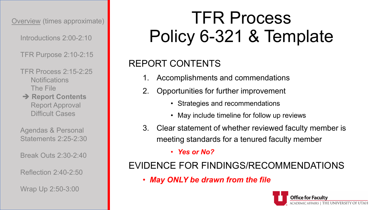Introductions 2:00-2:10

TFR Purpose 2:10-2:15

TFR Process 2:15-2:25 **Notifications** The File

**→ Report Contents** Report Approval Difficult Cases

Agendas & Personal Statements 2:25-2:30

Break Outs 2:30-2:40

Reflection 2:40-2:50

Wrap Up 2:50-3:00

### TFR Process Policy 6-321 & Template

#### REPORT CONTENTS

- Accomplishments and commendations
- 2. Opportunities for further improvement
	- Strategies and recommendations
	- May include timeline for follow up reviews
- 3. Clear statement of whether reviewed faculty member is meeting standards for a tenured faculty member

• *Yes or No?*

#### EVIDENCE FOR FINDINGS/RECOMMENDATIONS

• *May ONLY be drawn from the file*

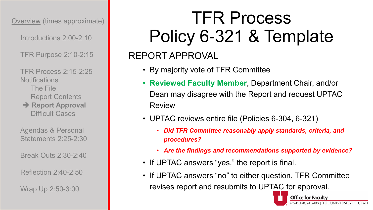Introductions 2:00-2:10

TFR Purpose 2:10-2:15

TFR Process 2:15-2:25 **Notifications** The File Report Contents

**Report Approval** Difficult Cases

Agendas & Personal Statements 2:25-2:30

Break Outs 2:30-2:40

Reflection 2:40-2:50

Wrap Up 2:50-3:00

### TFR Process Policy 6-321 & Template

#### REPORT APPROVAL

- By majority vote of TFR Committee
- **Reviewed Faculty Member**, Department Chair, and/or Dean may disagree with the Report and request UPTAC Review
- UPTAC reviews entire file (Policies 6-304, 6-321)
	- *Did TFR Committee reasonably apply standards, criteria, and procedures?*
	- *Are the findings and recommendations supported by evidence?*
- If UPTAC answers "yes," the report is final.
- If UPTAC answers "no" to either question, TFR Committee revises report and resubmits to UPTAC for approval.

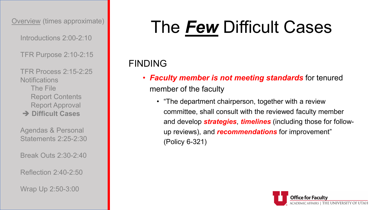Introductions 2:00-2:10

TFR Purpose 2:10-2:15

TFR Process 2:15-2:25 **Notifications** The File Report Contents Report Approval **→ Difficult Cases** 

Agendas & Personal Statements 2:25-2:30

Break Outs 2:30-2:40

Reflection 2:40-2:50

Wrap Up 2:50-3:00

### The *Few* Difficult Cases

#### FINDING

- *Faculty member is not meeting standards* for tenured member of the faculty
	- "The department chairperson, together with a review committee, shall consult with the reviewed faculty member and develop *strategies*, *timelines* (including those for followup reviews), and *recommendations* for improvement" (Policy 6-321)

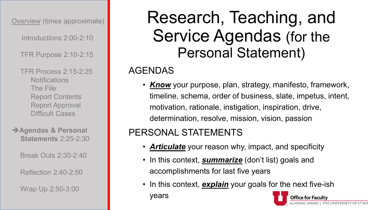Introductions 2:00-2:10

TFR Purpose 2:10-2:15

TFR Process 2:15-2:25 **Notifications** The File Report Contents Report Approval Difficult Cases

**Agendas & Personal Statements** 2:25-2:30

Break Outs 2:30-2:40

Reflection 2:40-2:50

Wrap Up 2:50-3:00

### Research, Teaching, and Service Agendas (for the Personal Statement)

#### AGENDAS

• *Know* your purpose, plan, strategy, manifesto, framework, timeline, schema, order of business, slate, impetus, intent, motivation, rationale, instigation, inspiration, drive, determination, resolve, mission, vision, passion

#### PERSONAL STATEMENTS

- *Articulate* your reason why, impact, and specificity
- In this context, *summarize* (don't list) goals and accomplishments for last five years
- In this context, **explain** your goals for the next five-ish years

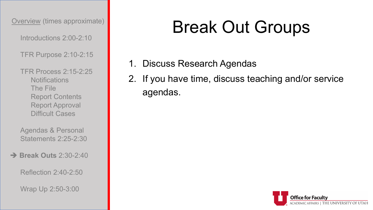Introductions 2:00-2:10

TFR Purpose 2:10-2:15

TFR Process 2:15-2:25 Notifications The File Report Contents Report Approval Difficult Cases

Agendas & Personal Statements 2:25-2:30

**Break Outs** 2:30-2:40

Reflection 2:40-2:50

Wrap Up 2:50-3:00

### Break Out Groups

- 1. Discuss Research Agendas
- 2. If you have time, discuss teaching and/or service agendas.

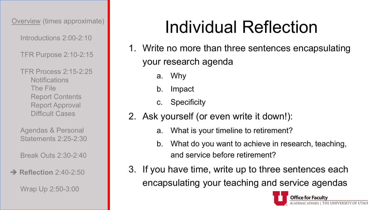Introductions 2:00-2:10

TFR Purpose 2:10-2:15

TFR Process 2:15-2:25 **Notifications** The File Report Contents Report Approval Difficult Cases

Agendas & Personal Statements 2:25-2:30

Break Outs 2:30-2:40

#### **→ Reflection** 2:40-2:50

Wrap Up 2:50-3:00

### Individual Reflection

- 1. Write no more than three sentences encapsulating your research agenda
	- a. Why
	- b. Impact
	- c. Specificity
- 2. Ask yourself (or even write it down!):
	- a. What is your timeline to retirement?
	- b. What do you want to achieve in research, teaching, and service before retirement?
- 3. If you have time, write up to three sentences each encapsulating your teaching and service agendas